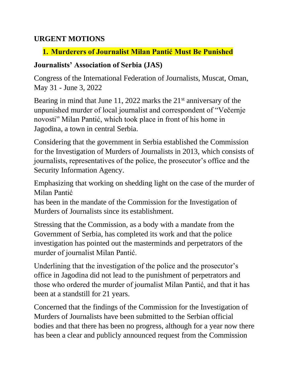#### **URGENT MOTIONS**

## **1. Murderers of Journalist Milan Pantić Must Be Punished**

### **Journalists' Association of Serbia (JAS)**

Congress of the International Federation of Journalists, Muscat, Oman, May 31 - June 3, 2022

Bearing in mind that June 11, 2022 marks the  $21<sup>st</sup>$  anniversary of the unpunished murder of local journalist and correspondent of "Večernje novosti" Milan Pantić, which took place in front of his home in Jagodina, a town in central Serbia.

Considering that the government in Serbia established the Commission for the Investigation of Murders of Journalists in 2013, which consists of journalists, representatives of the police, the prosecutor's office and the Security Information Agency.

Emphasizing that working on shedding light on the case of the murder of Milan Pantić

has been in the mandate of the Commission for the Investigation of Murders of Journalists since its establishment.

Stressing that the Commission, as a body with a mandate from the Government of Serbia, has completed its work and that the police investigation has pointed out the masterminds and perpetrators of the murder of journalist Milan Pantić.

Underlining that the investigation of the police and the prosecutor's office in Jagodina did not lead to the punishment of perpetrators and those who ordered the murder of journalist Milan Pantić, and that it has been at a standstill for 21 years.

Concerned that the findings of the Commission for the Investigation of Murders of Journalists have been submitted to the Serbian official bodies and that there has been no progress, although for a year now there has been a clear and publicly announced request from the Commission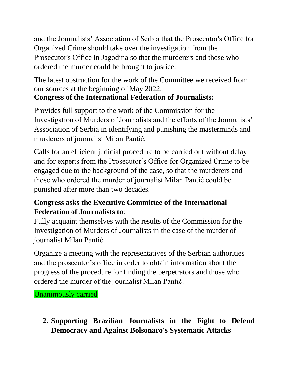and the Journalists' Association of Serbia that the Prosecutor's Office for Organized Crime should take over the investigation from the Prosecutor's Office in Jagodina so that the murderers and those who ordered the murder could be brought to justice.

The latest obstruction for the work of the Committee we received from our sources at the beginning of May 2022.

# **Congress of the International Federation of Journalists:**

Provides full support to the work of the Commission for the Investigation of Murders of Journalists and the efforts of the Journalists' Association of Serbia in identifying and punishing the masterminds and murderers of journalist Milan Pantić.

Calls for an efficient judicial procedure to be carried out without delay and for experts from the Prosecutor's Office for Organized Crime to be engaged due to the background of the case, so that the murderers and those who ordered the murder of journalist Milan Pantić could be punished after more than two decades.

## **Congress asks the Executive Committee of the International Federation of Journalists to**:

Fully acquaint themselves with the results of the Commission for the Investigation of Murders of Journalists in the case of the murder of journalist Milan Pantić.

Organize a meeting with the representatives of the Serbian authorities and the prosecutor's office in order to obtain information about the progress of the procedure for finding the perpetrators and those who ordered the murder of the journalist Milan Pantić.

Unanimously carried

**2. Supporting Brazilian Journalists in the Fight to Defend Democracy and Against Bolsonaro's Systematic Attacks**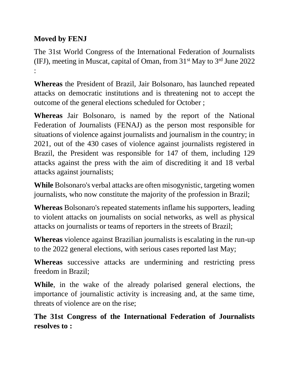## **Moved by FENJ**

The 31st World Congress of the International Federation of Journalists (IFJ), meeting in Muscat, capital of Oman, from  $31<sup>st</sup>$  May to  $3<sup>rd</sup>$  June 2022 :

**Whereas** the President of Brazil, Jair Bolsonaro, has launched repeated attacks on democratic institutions and is threatening not to accept the outcome of the general elections scheduled for October ;

**Whereas** Jair Bolsonaro, is named by the report of the National Federation of Journalists (FENAJ) as the person most responsible for situations of violence against journalists and journalism in the country; in 2021, out of the 430 cases of violence against journalists registered in Brazil, the President was responsible for 147 of them, including 129 attacks against the press with the aim of discrediting it and 18 verbal attacks against journalists;

**While** Bolsonaro's verbal attacks are often misogynistic, targeting women journalists, who now constitute the majority of the profession in Brazil;

**Whereas** Bolsonaro's repeated statements inflame his supporters, leading to violent attacks on journalists on social networks, as well as physical attacks on journalists or teams of reporters in the streets of Brazil;

**Whereas** violence against Brazilian journalists is escalating in the run-up to the 2022 general elections, with serious cases reported last May;

**Whereas** successive attacks are undermining and restricting press freedom in Brazil;

**While**, in the wake of the already polarised general elections, the importance of journalistic activity is increasing and, at the same time, threats of violence are on the rise;

**The 31st Congress of the International Federation of Journalists resolves to :**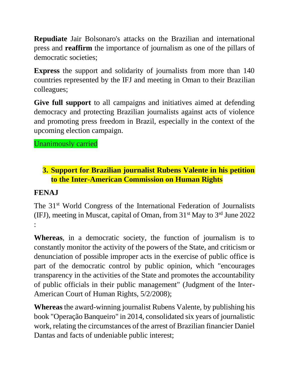**Repudiate** Jair Bolsonaro's attacks on the Brazilian and international press and **reaffirm** the importance of journalism as one of the pillars of democratic societies;

**Express** the support and solidarity of journalists from more than 140 countries represented by the IFJ and meeting in Oman to their Brazilian colleagues;

**Give full support** to all campaigns and initiatives aimed at defending democracy and protecting Brazilian journalists against acts of violence and promoting press freedom in Brazil, especially in the context of the upcoming election campaign.

Unanimously carried

## **3. Support for Brazilian journalist Rubens Valente in his petition to the Inter-American Commission on Human Rights**

### **FENAJ**

The 31<sup>st</sup> World Congress of the International Federation of Journalists (IFJ), meeting in Muscat, capital of Oman, from  $31<sup>st</sup>$  May to  $3<sup>rd</sup>$  June 2022 :

**Whereas**, in a democratic society, the function of journalism is to constantly monitor the activity of the powers of the State, and criticism or denunciation of possible improper acts in the exercise of public office is part of the democratic control by public opinion, which "encourages transparency in the activities of the State and promotes the accountability of public officials in their public management" (Judgment of the Inter-American Court of Human Rights, 5/2/2008);

**Whereas** the award-winning journalist Rubens Valente, by publishing his book "Operação Banqueiro" in 2014, consolidated six years of journalistic work, relating the circumstances of the arrest of Brazilian financier Daniel Dantas and facts of undeniable public interest;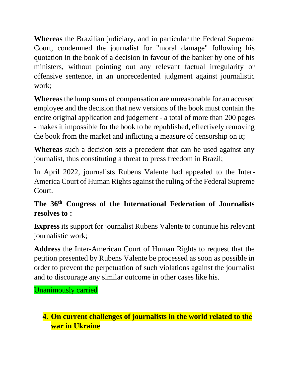**Whereas** the Brazilian judiciary, and in particular the Federal Supreme Court, condemned the journalist for "moral damage" following his quotation in the book of a decision in favour of the banker by one of his ministers, without pointing out any relevant factual irregularity or offensive sentence, in an unprecedented judgment against journalistic work;

**Whereas**the lump sums of compensation are unreasonable for an accused employee and the decision that new versions of the book must contain the entire original application and judgement - a total of more than 200 pages - makes it impossible for the book to be republished, effectively removing the book from the market and inflicting a measure of censorship on it;

**Whereas** such a decision sets a precedent that can be used against any journalist, thus constituting a threat to press freedom in Brazil;

In April 2022, journalists Rubens Valente had appealed to the Inter-America Court of Human Rights against the ruling of the Federal Supreme Court.

### **The 36th Congress of the International Federation of Journalists resolves to :**

**Express** its support for journalist Rubens Valente to continue his relevant journalistic work;

**Address** the Inter-American Court of Human Rights to request that the petition presented by Rubens Valente be processed as soon as possible in order to prevent the perpetuation of such violations against the journalist and to discourage any similar outcome in other cases like his.

Unanimously carried

## **4. On current challenges of journalists in the world related to the war in Ukraine**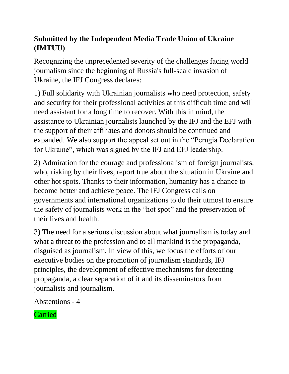## **Submitted by the Independent Media Trade Union of Ukraine (IMTUU)**

Recognizing the unprecedented severity of the challenges facing world journalism since the beginning of Russia's full-scale invasion of Ukraine, the IFJ Congress declares:

1) Full solidarity with Ukrainian journalists who need protection, safety and security for their professional activities at this difficult time and will need assistant for a long time to recover. With this in mind, the assistance to Ukrainian journalists launched by the IFJ and the EFJ with the support of their affiliates and donors should be continued and expanded. We also support the appeal set out in the "Perugia Declaration for Ukraine", which was signed by the IFJ and EFJ leadership.

2) Admiration for the courage and professionalism of foreign journalists, who, risking by their lives, report true about the situation in Ukraine and other hot spots. Thanks to their information, humanity has a chance to become better and achieve peace. The IFJ Congress calls on governments and international organizations to do their utmost to ensure the safety of journalists work in the "hot spot" and the preservation of their lives and health.

3) The need for a serious discussion about what journalism is today and what a threat to the profession and to all mankind is the propaganda, disguised as journalism. In view of this, we focus the efforts of our executive bodies on the promotion of journalism standards, IFJ principles, the development of effective mechanisms for detecting propaganda, a clear separation of it and its disseminators from journalists and journalism.

Abstentions - 4

Carried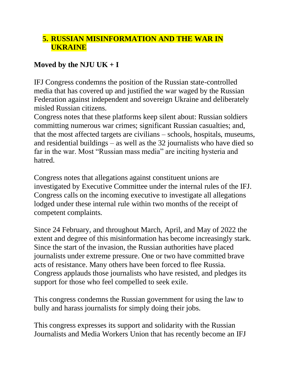### **5. RUSSIAN MISINFORMATION AND THE WAR IN UKRAINE**

### **Moved by the NJU UK + I**

IFJ Congress condemns the position of the Russian state-controlled media that has covered up and justified the war waged by the Russian Federation against independent and sovereign Ukraine and deliberately misled Russian citizens.

Congress notes that these platforms keep silent about: Russian soldiers committing numerous war crimes; significant Russian casualties; and, that the most affected targets are civilians – schools, hospitals, museums, and residential buildings – as well as the 32 journalists who have died so far in the war. Most "Russian mass media" are inciting hysteria and hatred.

Congress notes that allegations against constituent unions are investigated by Executive Committee under the internal rules of the IFJ. Congress calls on the incoming executive to investigate all allegations lodged under these internal rule within two months of the receipt of competent complaints.

Since 24 February, and throughout March, April, and May of 2022 the extent and degree of this misinformation has become increasingly stark. Since the start of the invasion, the Russian authorities have placed journalists under extreme pressure. One or two have committed brave acts of resistance. Many others have been forced to flee Russia. Congress applauds those journalists who have resisted, and pledges its support for those who feel compelled to seek exile.

This congress condemns the Russian government for using the law to bully and harass journalists for simply doing their jobs.

This congress expresses its support and solidarity with the Russian Journalists and Media Workers Union that has recently become an IFJ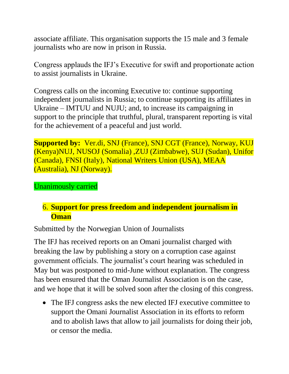associate affiliate. This organisation supports the 15 male and 3 female journalists who are now in prison in Russia.

Congress applauds the IFJ's Executive for swift and proportionate action to assist journalists in Ukraine.

Congress calls on the incoming Executive to: continue supporting independent journalists in Russia; to continue supporting its affiliates in Ukraine – IMTUU and NUJU; and, to increase its campaigning in support to the principle that truthful, plural, transparent reporting is vital for the achievement of a peaceful and just world.

**Supported by:** Ver.di, SNJ (France), SNJ CGT (France), Norway, KUJ (Kenya)NUJ, NUSOJ (Somalia) ,ZUJ (Zimbabwe), SUJ (Sudan), Unifor (Canada), FNSI (Italy), National Writers Union (USA), MEAA (Australia), NJ (Norway).

Unanimously carried

### 6. **Support for press freedom and independent journalism in Oman**

Submitted by the Norwegian Union of Journalists

The IFJ has received reports on an Omani journalist charged with breaking the law by publishing a story on a corruption case against government officials. The journalist's court hearing was scheduled in May but was postponed to mid-June without explanation. The congress has been ensured that the Oman Journalist Association is on the case, and we hope that it will be solved soon after the closing of this congress.

• The IFJ congress asks the new elected IFJ executive committee to support the Omani Journalist Association in its efforts to reform and to abolish laws that allow to jail journalists for doing their job, or censor the media.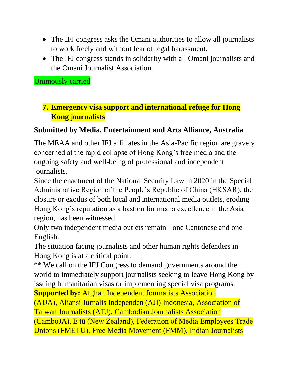- The IFJ congress asks the Omani authorities to allow all journalists to work freely and without fear of legal harassment.
- The IFJ congress stands in solidarity with all Omani journalists and the Omani Journalist Association.

Unimously carried

### **7. Emergency visa support and international refuge for Hong Kong journalists**

#### **Submitted by Media, Entertainment and Arts Alliance, Australia**

The MEAA and other IFJ affiliates in the Asia-Pacific region are gravely concerned at the rapid collapse of Hong Kong's free media and the ongoing safety and well-being of professional and independent journalists.

Since the enactment of the National Security Law in 2020 in the Special Administrative Region of the People's Republic of China (HKSAR), the closure or exodus of both local and international media outlets, eroding Hong Kong's reputation as a bastion for media excellence in the Asia region, has been witnessed.

Only two independent media outlets remain - one Cantonese and one English.

The situation facing journalists and other human rights defenders in Hong Kong is at a critical point.

\*\* We call on the IFJ Congress to demand governments around the world to immediately support journalists seeking to leave Hong Kong by issuing humanitarian visas or implementing special visa programs. **Supported by:** Afghan Independent Journalists Association

(AIJA), Aliansi Jurnalis Independen (AJI) Indonesia, Association of Taiwan Journalists (ATJ), Cambodian Journalists Association (CamboJA), E tū (New Zealand), Federation of Media Employees Trade Unions (FMETU), Free Media Movement (FMM), Indian Journalists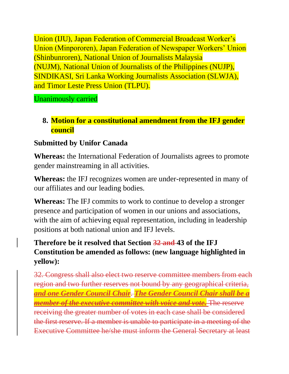Union (IJU), Japan Federation of Commercial Broadcast Worker's Union (Minpororen), Japan Federation of Newspaper Workers' Union (Shinbunroren), National Union of Journalists Malaysia (NUJM), National Union of Journalists of the Philippines (NUJP), SINDIKASI, Sri Lanka Working Journalists Association (SLWJA), and Timor Leste Press Union (TLPU).

Unanimously carried

## **8. Motion for a constitutional amendment from the IFJ gender council**

## **Submitted by Unifor Canada**

**Whereas:** the International Federation of Journalists agrees to promote gender mainstreaming in all activities.

**Whereas:** the IFJ recognizes women are under-represented in many of our affiliates and our leading bodies.

**Whereas:** The IFJ commits to work to continue to develop a stronger presence and participation of women in our unions and associations, with the aim of achieving equal representation, including in leadership positions at both national union and IFJ levels.

## **Therefore be it resolved that Section 32 and 43 of the IFJ Constitution be amended as follows: (new language highlighted in yellow):**

32. Congress shall also elect two reserve committee members from each region and two further reserves not bound by any geographical criteria, *and one Gender Council Chair*. *The Gender Council Chair shall be a member of the executive committee with voice and vote.* The reserve receiving the greater number of votes in each case shall be considered the first reserve. If a member is unable to participate in a meeting of the Executive Committee he/she must inform the General Secretary at least